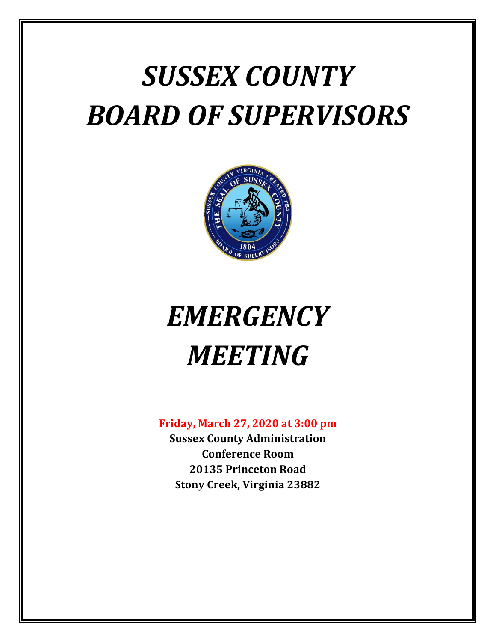# *SUSSEX COUNTY BOARD OF SUPERVISORS*



# *EMERGENCY MEETING*

## **Friday, March 27, 2020 at 3:00 pm**

**Sussex County Administration Conference Room 20135 Princeton Road Stony Creek, Virginia 23882**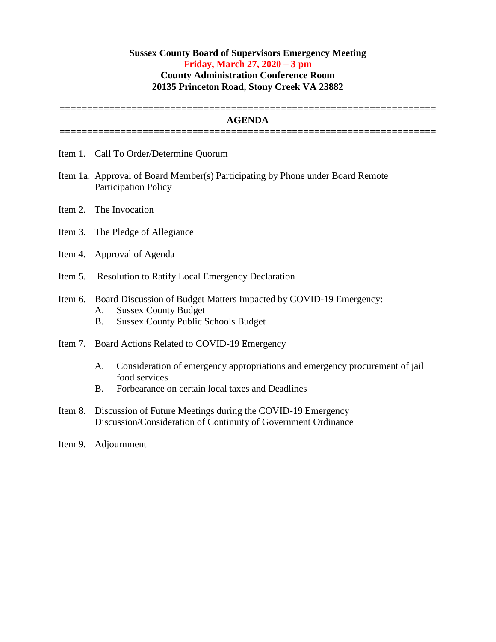### **Sussex County Board of Supervisors Emergency Meeting Friday, March 27, 2020 – 3 pm County Administration Conference Room 20135 Princeton Road, Stony Creek VA 23882**

**====================================================================**

#### **AGENDA ====================================================================**

- Item 1. Call To Order/Determine Quorum
- Item 1a. Approval of Board Member(s) Participating by Phone under Board Remote Participation Policy
- Item 2. The Invocation
- Item 3. The Pledge of Allegiance
- Item 4. Approval of Agenda
- Item 5. Resolution to Ratify Local Emergency Declaration

# Item 6. Board Discussion of Budget Matters Impacted by COVID-19 Emergency:

- A. Sussex County Budget
- B. Sussex County Public Schools Budget
- Item 7. Board Actions Related to COVID-19 Emergency
	- A. Consideration of emergency appropriations and emergency procurement of jail food services
	- B. Forbearance on certain local taxes and Deadlines
- Item 8. Discussion of Future Meetings during the COVID-19 Emergency Discussion/Consideration of Continuity of Government Ordinance
- Item 9. Adjournment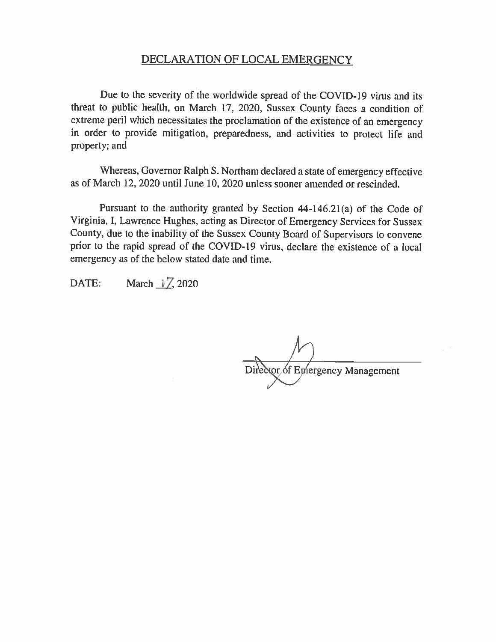### DECLARATION OF LOCAL EMERGENCY

Due to the severity of the worldwide spread of the COVID-19 virus and its threat to public health, on March 17, 2020, Sussex County faces a condition of extreme peril which necessitates the proclamation of the existence of an emergency in order to provide mitigation, preparedness, and activities to protect life and property; and

Whereas, Governor Ralph S. Northam declared a state of emergency effective as of March 12, 2020 until June 10, 2020 unless sooner amended or rescinded.

Pursuant to the authority granted by Section 44-146.21(a) of the Code of Virginia, I, Lawrence Hughes, acting as Director of Emergency Services for Sussex County, due to the inability of the Sussex County Board of Supervisors to convene prior to the rapid spread of the COVID-19 virus, declare the existence of a local emergency as of the below stated date and time.

March 17, 2020 DATE:

Director of Emergency Management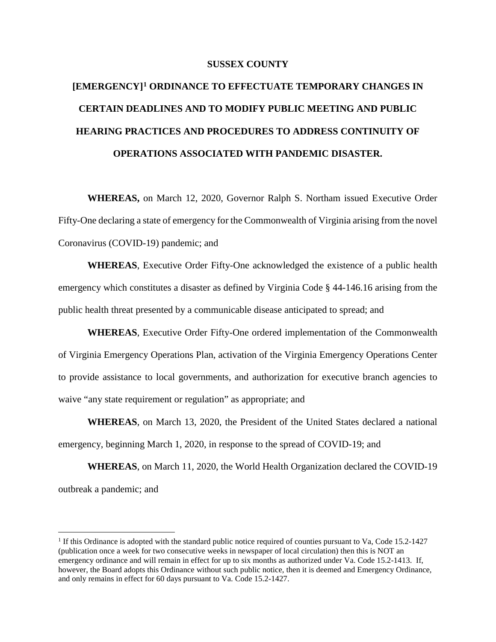#### **SUSSEX COUNTY**

# **[EMERGENCY][1](#page-3-0) ORDINANCE TO EFFECTUATE TEMPORARY CHANGES IN CERTAIN DEADLINES AND TO MODIFY PUBLIC MEETING AND PUBLIC HEARING PRACTICES AND PROCEDURES TO ADDRESS CONTINUITY OF OPERATIONS ASSOCIATED WITH PANDEMIC DISASTER.**

**WHEREAS,** on March 12, 2020, Governor Ralph S. Northam issued Executive Order Fifty-One declaring a state of emergency for the Commonwealth of Virginia arising from the novel Coronavirus (COVID-19) pandemic; and

**WHEREAS**, Executive Order Fifty-One acknowledged the existence of a public health emergency which constitutes a disaster as defined by Virginia Code § 44-146.16 arising from the public health threat presented by a communicable disease anticipated to spread; and

**WHEREAS**, Executive Order Fifty-One ordered implementation of the Commonwealth of Virginia Emergency Operations Plan, activation of the Virginia Emergency Operations Center to provide assistance to local governments, and authorization for executive branch agencies to waive "any state requirement or regulation" as appropriate; and

**WHEREAS**, on March 13, 2020, the President of the United States declared a national emergency, beginning March 1, 2020, in response to the spread of COVID-19; and

**WHEREAS**, on March 11, 2020, the World Health Organization declared the COVID-19 outbreak a pandemic; and

<span id="page-3-0"></span><sup>&</sup>lt;sup>1</sup> If this Ordinance is adopted with the standard public notice required of counties pursuant to Va, Code 15.2-1427 (publication once a week for two consecutive weeks in newspaper of local circulation) then this is NOT an emergency ordinance and will remain in effect for up to six months as authorized under Va. Code 15.2-1413. If, however, the Board adopts this Ordinance without such public notice, then it is deemed and Emergency Ordinance, and only remains in effect for 60 days pursuant to Va. Code 15.2-1427.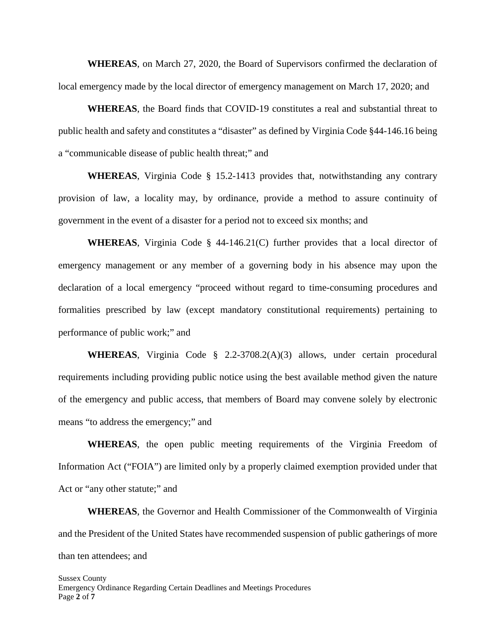**WHEREAS**, on March 27, 2020, the Board of Supervisors confirmed the declaration of local emergency made by the local director of emergency management on March 17, 2020; and

**WHEREAS**, the Board finds that COVID-19 constitutes a real and substantial threat to public health and safety and constitutes a "disaster" as defined by Virginia Code §44-146.16 being a "communicable disease of public health threat;" and

**WHEREAS**, Virginia Code § 15.2-1413 provides that, notwithstanding any contrary provision of law, a locality may, by ordinance, provide a method to assure continuity of government in the event of a disaster for a period not to exceed six months; and

**WHEREAS**, Virginia Code § 44-146.21(C) further provides that a local director of emergency management or any member of a governing body in his absence may upon the declaration of a local emergency "proceed without regard to time-consuming procedures and formalities prescribed by law (except mandatory constitutional requirements) pertaining to performance of public work;" and

**WHEREAS**, Virginia Code § 2.2-3708.2(A)(3) allows, under certain procedural requirements including providing public notice using the best available method given the nature of the emergency and public access, that members of Board may convene solely by electronic means "to address the emergency;" and

**WHEREAS**, the open public meeting requirements of the Virginia Freedom of Information Act ("FOIA") are limited only by a properly claimed exemption provided under that Act or "any other statute;" and

**WHEREAS**, the Governor and Health Commissioner of the Commonwealth of Virginia and the President of the United States have recommended suspension of public gatherings of more than ten attendees; and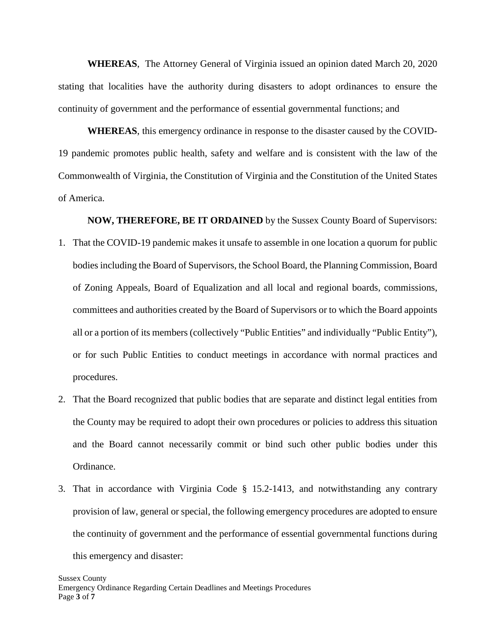**WHEREAS**, The Attorney General of Virginia issued an opinion dated March 20, 2020 stating that localities have the authority during disasters to adopt ordinances to ensure the continuity of government and the performance of essential governmental functions; and

**WHEREAS**, this emergency ordinance in response to the disaster caused by the COVID-19 pandemic promotes public health, safety and welfare and is consistent with the law of the Commonwealth of Virginia, the Constitution of Virginia and the Constitution of the United States of America.

**NOW, THEREFORE, BE IT ORDAINED** by the Sussex County Board of Supervisors:

- 1. That the COVID-19 pandemic makes it unsafe to assemble in one location a quorum for public bodies including the Board of Supervisors, the School Board, the Planning Commission, Board of Zoning Appeals, Board of Equalization and all local and regional boards, commissions, committees and authorities created by the Board of Supervisors or to which the Board appoints all or a portion of its members (collectively "Public Entities" and individually "Public Entity"), or for such Public Entities to conduct meetings in accordance with normal practices and procedures.
- 2. That the Board recognized that public bodies that are separate and distinct legal entities from the County may be required to adopt their own procedures or policies to address this situation and the Board cannot necessarily commit or bind such other public bodies under this Ordinance.
- 3. That in accordance with Virginia Code § 15.2-1413, and notwithstanding any contrary provision of law, general or special, the following emergency procedures are adopted to ensure the continuity of government and the performance of essential governmental functions during this emergency and disaster: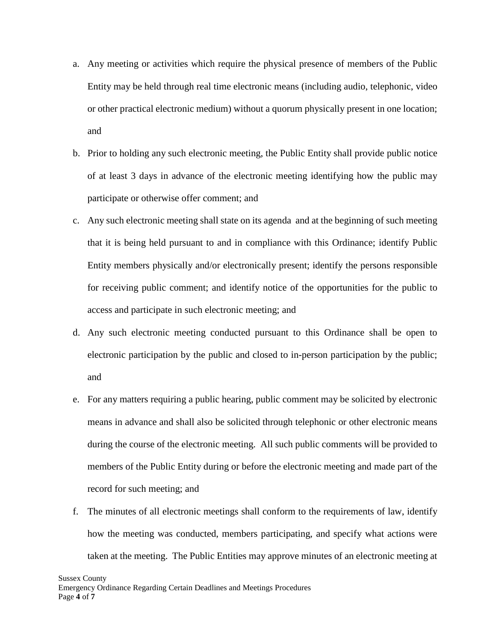- a. Any meeting or activities which require the physical presence of members of the Public Entity may be held through real time electronic means (including audio, telephonic, video or other practical electronic medium) without a quorum physically present in one location; and
- b. Prior to holding any such electronic meeting, the Public Entity shall provide public notice of at least 3 days in advance of the electronic meeting identifying how the public may participate or otherwise offer comment; and
- c. Any such electronic meeting shall state on its agenda and at the beginning of such meeting that it is being held pursuant to and in compliance with this Ordinance; identify Public Entity members physically and/or electronically present; identify the persons responsible for receiving public comment; and identify notice of the opportunities for the public to access and participate in such electronic meeting; and
- d. Any such electronic meeting conducted pursuant to this Ordinance shall be open to electronic participation by the public and closed to in-person participation by the public; and
- e. For any matters requiring a public hearing, public comment may be solicited by electronic means in advance and shall also be solicited through telephonic or other electronic means during the course of the electronic meeting. All such public comments will be provided to members of the Public Entity during or before the electronic meeting and made part of the record for such meeting; and
- f. The minutes of all electronic meetings shall conform to the requirements of law, identify how the meeting was conducted, members participating, and specify what actions were taken at the meeting. The Public Entities may approve minutes of an electronic meeting at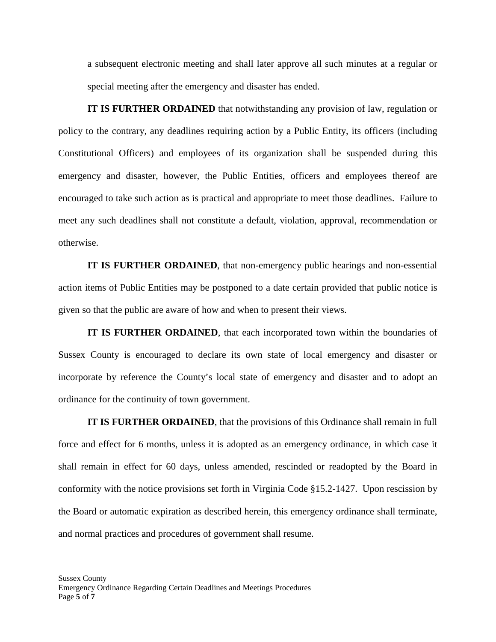a subsequent electronic meeting and shall later approve all such minutes at a regular or special meeting after the emergency and disaster has ended.

**IT IS FURTHER ORDAINED** that notwithstanding any provision of law, regulation or policy to the contrary, any deadlines requiring action by a Public Entity, its officers (including Constitutional Officers) and employees of its organization shall be suspended during this emergency and disaster, however, the Public Entities, officers and employees thereof are encouraged to take such action as is practical and appropriate to meet those deadlines. Failure to meet any such deadlines shall not constitute a default, violation, approval, recommendation or otherwise.

**IT IS FURTHER ORDAINED**, that non-emergency public hearings and non-essential action items of Public Entities may be postponed to a date certain provided that public notice is given so that the public are aware of how and when to present their views.

**IT IS FURTHER ORDAINED**, that each incorporated town within the boundaries of Sussex County is encouraged to declare its own state of local emergency and disaster or incorporate by reference the County's local state of emergency and disaster and to adopt an ordinance for the continuity of town government.

**IT IS FURTHER ORDAINED**, that the provisions of this Ordinance shall remain in full force and effect for 6 months, unless it is adopted as an emergency ordinance, in which case it shall remain in effect for 60 days, unless amended, rescinded or readopted by the Board in conformity with the notice provisions set forth in Virginia Code §15.2-1427. Upon rescission by the Board or automatic expiration as described herein, this emergency ordinance shall terminate, and normal practices and procedures of government shall resume.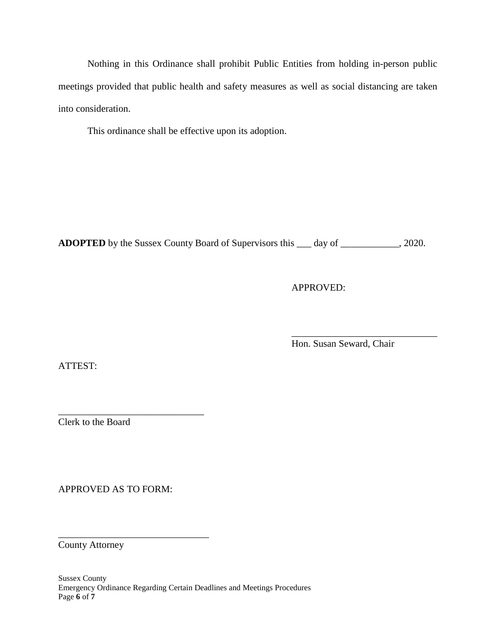Nothing in this Ordinance shall prohibit Public Entities from holding in-person public meetings provided that public health and safety measures as well as social distancing are taken into consideration.

This ordinance shall be effective upon its adoption.

**ADOPTED** by the Sussex County Board of Supervisors this \_\_\_ day of \_\_\_\_\_\_\_\_\_\_\_\_, 2020.

APPROVED:

\_\_\_\_\_\_\_\_\_\_\_\_\_\_\_\_\_\_\_\_\_\_\_\_\_\_\_\_\_\_ Hon. Susan Seward, Chair

ATTEST:

\_\_\_\_\_\_\_\_\_\_\_\_\_\_\_\_\_\_\_\_\_\_\_\_\_\_\_\_\_\_ Clerk to the Board

APPROVED AS TO FORM:

\_\_\_\_\_\_\_\_\_\_\_\_\_\_\_\_\_\_\_\_\_\_\_\_\_\_\_\_\_\_\_

County Attorney

Sussex County Emergency Ordinance Regarding Certain Deadlines and Meetings Procedures Page **6** of **7**